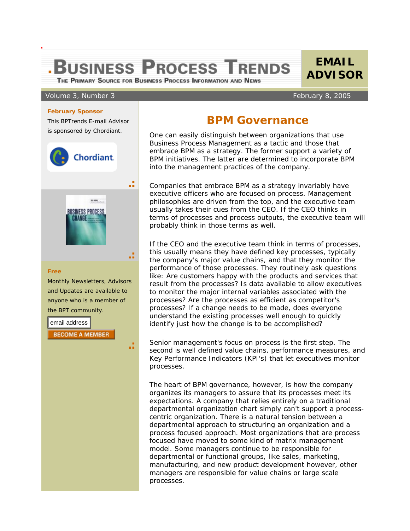## **.BUSINESS PROCESS TRENDS**

THE PRIMARY SOURCE FOR BUSINESS PROCESS INFORMATION AND NEWS

## Volume 3, Number 3 February 8, 2005

## **February Sponsor**

This BPTrends E-mail Advisor is sponsored by Chordiant.



## **BPM Governance**

**EMAIL ADVISOR**

 One can easily distinguish between organizations that use Business Process Management as a tactic and those that embrace BPM as a strategy. The former support a variety of BPM initiatives. The latter are determined to incorporate BPM into the management practices of the company.

Companies that embrace BPM as a strategy invariably have executive officers who are focused on process. Management philosophies are driven from the top, and the executive team usually takes their cues from the CEO. If the CEO thinks in terms of processes and process outputs, the executive team will probably think in those terms as well.

If the CEO and the executive team think in terms of processes, this usually means they have defined key processes, typically the company's major value chains, and that they monitor the performance of those processes. They routinely ask questions like: Are customers happy with the products and services that result from the processes? Is data available to allow executives to monitor the major internal variables associated with the processes? Are the processes as efficient as competitor's processes? If a change needs to be made, does everyone understand the existing processes well enough to quickly identify just how the change is to be accomplished?

Senior management's focus on process is the first step. The second is well defined value chains, performance measures, and Key Performance Indicators (KPI's) that let executives monitor processes.

The heart of BPM governance, however, is how the company organizes its managers to assure that its processes meet its expectations. A company that relies entirely on a traditional departmental organization chart simply can't support a processcentric organization. There is a natural tension between a departmental approach to structuring an organization and a process focused approach. Most organizations that are process focused have moved to some kind of matrix management model. Some managers continue to be responsible for departmental or functional groups, like sales, marketing, manufacturing, and new product development however, other managers are responsible for value chains or large scale processes.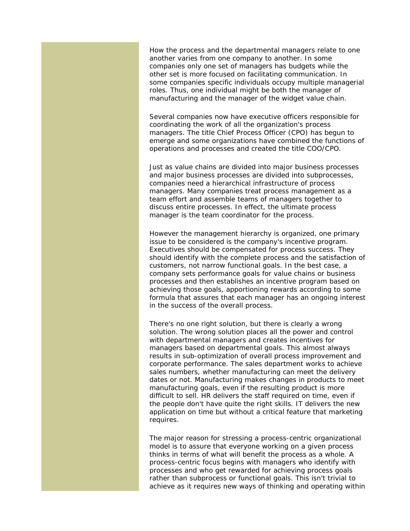How the process and the departmental managers relate to one another varies from one company to another. In some companies only one set of managers has budgets while the other set is more focused on facilitating communication. In some companies specific individuals occupy multiple managerial roles. Thus, one individual might be both the manager of manufacturing and the manager of the widget value chain.

Several companies now have executive officers responsible for coordinating the work of all the organization's process managers. The title Chief Process Officer (CPO) has begun to emerge and some organizations have combined the functions of operations and processes and created the title COO/CPO.

Just as value chains are divided into major business processes and major business processes are divided into subprocesses, companies need a hierarchical infrastructure of process managers. Many companies treat process management as a team effort and assemble teams of managers together to discuss entire processes. In effect, the ultimate process manager is the team coordinator for the process.

However the management hierarchy is organized, one primary issue to be considered is the company's incentive program. Executives should be compensated for process success. They should identify with the complete process and the satisfaction of customers, not narrow functional goals. In the best case, a company sets performance goals for value chains or business processes and then establishes an incentive program based on achieving those goals, apportioning rewards according to some formula that assures that each manager has an ongoing interest in the success of the overall process.

There's no one right solution, but there is clearly a wrong solution. The wrong solution places all the power and control with departmental managers and creates incentives for managers based on departmental goals. This almost always results in sub-optimization of overall process improvement and corporate performance. The sales department works to achieve sales numbers, whether manufacturing can meet the delivery dates or not. Manufacturing makes changes in products to meet manufacturing goals, even if the resulting product is more difficult to sell. HR delivers the staff required on time, even if the people don't have quite the right skills. IT delivers the new application on time but without a critical feature that marketing requires.

The major reason for stressing a process-centric organizational model is to assure that everyone working on a given process thinks in terms of what will benefit the process as a whole. A process-centric focus begins with managers who identify with processes and who get rewarded for achieving process goals rather than subprocess or functional goals. This isn't trivial to achieve as it requires new ways of thinking and operating within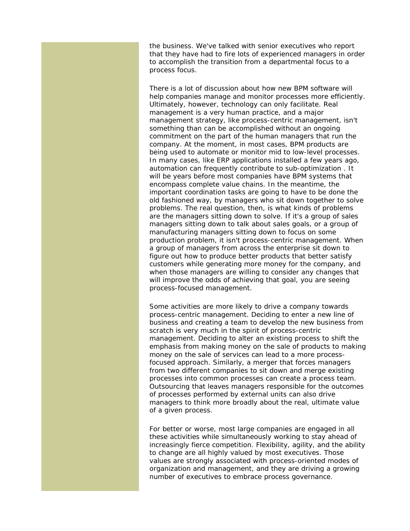the business. We've talked with senior executives who report that they have had to fire lots of experienced managers in order to accomplish the transition from a departmental focus to a process focus.

There is a lot of discussion about how new BPM software will help companies manage and monitor processes more efficiently. Ultimately, however, technology can only facilitate. Real management is a very human practice, and a major management strategy, like process-centric management, isn't something than can be accomplished without an ongoing commitment on the part of the human managers that run the company. At the moment, in most cases, BPM products are being used to automate or monitor mid to low-level processes. In many cases, like ERP applications installed a few years ago, automation can frequently contribute to sub-optimization . It will be years before most companies have BPM systems that encompass complete value chains. In the meantime, the important coordination tasks are going to have to be done the old fashioned way, by managers who sit down together to solve problems. The real question, then, is what kinds of problems are the managers sitting down to solve. If it's a group of sales managers sitting down to talk about sales goals, or a group of manufacturing managers sitting down to focus on some production problem, it isn't process-centric management. When a group of managers from across the enterprise sit down to figure out how to produce better products that better satisfy customers while generating more money for the company, and when those managers are willing to consider any changes that will improve the odds of achieving that goal, you are seeing process-focused management.

Some activities are more likely to drive a company towards process-centric management. Deciding to enter a new line of business and creating a team to develop the new business from scratch is very much in the spirit of process-centric management. Deciding to alter an existing process to shift the emphasis from making money on the sale of products to making money on the sale of services can lead to a more processfocused approach. Similarly, a merger that forces managers from two different companies to sit down and merge existing processes into common processes can create a process team. Outsourcing that leaves managers responsible for the outcomes of processes performed by external units can also drive managers to think more broadly about the real, ultimate value of a given process.

For better or worse, most large companies are engaged in all these activities while simultaneously working to stay ahead of increasingly fierce competition. Flexibility, agility, and the ability to change are all highly valued by most executives. Those values are strongly associated with process-oriented modes of organization and management, and they are driving a growing number of executives to embrace process governance.